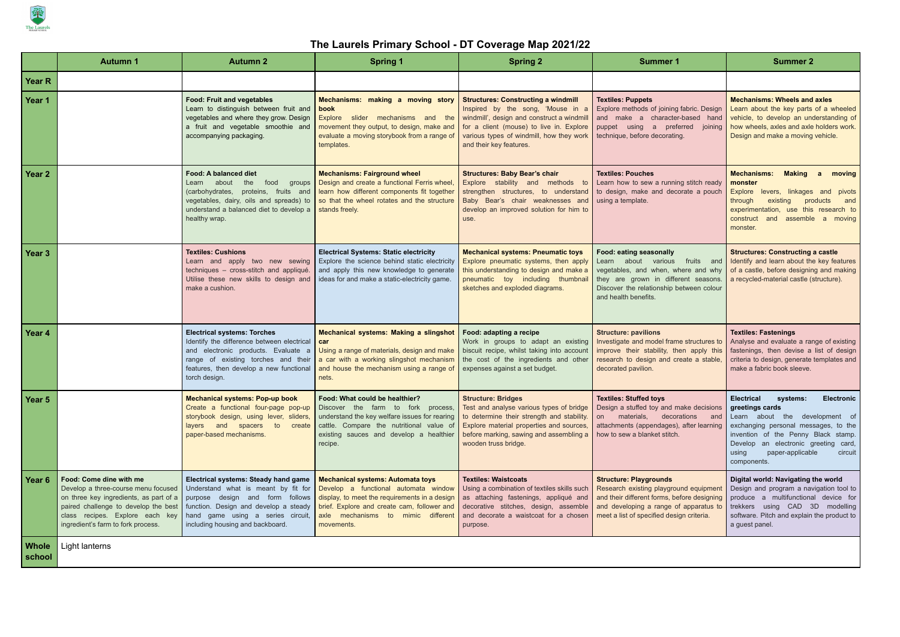

## **The Laurels Primary School - DT Coverage Map 2021/22**

|                        | <b>Autumn 1</b>                                                                                                                                                                                                           | <b>Autumn 2</b>                                                                                                                                                                                                                  | <b>Spring 1</b>                                                                                                                                                                                                                                                                                                          | <b>Spring 2</b>                                                                                                                                                                                                                                  | <b>Summer 1</b>                                                                                                                                                                                                 | <b>Summer 2</b>                                                                                                                                                                                                                                                                       |
|------------------------|---------------------------------------------------------------------------------------------------------------------------------------------------------------------------------------------------------------------------|----------------------------------------------------------------------------------------------------------------------------------------------------------------------------------------------------------------------------------|--------------------------------------------------------------------------------------------------------------------------------------------------------------------------------------------------------------------------------------------------------------------------------------------------------------------------|--------------------------------------------------------------------------------------------------------------------------------------------------------------------------------------------------------------------------------------------------|-----------------------------------------------------------------------------------------------------------------------------------------------------------------------------------------------------------------|---------------------------------------------------------------------------------------------------------------------------------------------------------------------------------------------------------------------------------------------------------------------------------------|
| <b>Year R</b>          |                                                                                                                                                                                                                           |                                                                                                                                                                                                                                  |                                                                                                                                                                                                                                                                                                                          |                                                                                                                                                                                                                                                  |                                                                                                                                                                                                                 |                                                                                                                                                                                                                                                                                       |
| Year 1                 |                                                                                                                                                                                                                           | <b>Food: Fruit and vegetables</b><br>Learn to distinguish between fruit and<br>vegetables and where they grow. Design<br>a fruit and vegetable smoothie and<br>accompanying packaging.                                           | Mechanisms: making a moving story<br>book<br>Explore slider mechanisms and the<br>movement they output, to design, make and<br>evaluate a moving storybook from a range of<br>templates.                                                                                                                                 | <b>Structures: Constructing a windmill</b><br>Inspired by the song, 'Mouse in a<br>windmill', design and construct a windmill<br>for a client (mouse) to live in. Explore<br>various types of windmill, how they work<br>and their key features. | <b>Textiles: Puppets</b><br>Explore methods of joining fabric. Design<br>and make a character-based hand<br>puppet using a preferred joining<br>technique, before decorating.                                   | <b>Mechanisms: Wheels and axles</b><br>Learn about the key parts of a wheeled<br>vehicle, to develop an understanding of<br>how wheels, axles and axle holders work.<br>Design and make a moving vehicle.                                                                             |
| Year 2                 |                                                                                                                                                                                                                           | <b>Food: A balanced diet</b><br>Learn about<br>the<br>food<br>groups<br>(carbohydrates, proteins, fruits and<br>vegetables, dairy, oils and spreads) to<br>understand a balanced diet to develop a<br>healthy wrap.              | <b>Mechanisms: Fairground wheel</b><br>Design and create a functional Ferris wheel,<br>learn how different components fit together<br>so that the wheel rotates and the structure<br>stands freely.                                                                                                                      | <b>Structures: Baby Bear's chair</b><br>Explore stability and methods to<br>strengthen structures, to understand<br>Baby Bear's chair weaknesses and<br>develop an improved solution for him to<br>use.                                          | <b>Textiles: Pouches</b><br>Learn how to sew a running stitch ready<br>to design, make and decorate a pouch<br>using a template.                                                                                | <b>Mechanisms:</b><br><b>Making</b> a<br>moving<br>monster<br>Explore levers,<br>linkages and<br>pivots<br>through<br>existing<br>products<br>and<br>experimentation,<br>use this research to<br>construct and<br>assemble a moving<br>monster.                                       |
| Year 3                 |                                                                                                                                                                                                                           | <b>Textiles: Cushions</b><br>Learn and apply two new sewing<br>techniques - cross-stitch and appliqué.<br>Utilise these new skills to design and<br>make a cushion.                                                              | <b>Electrical Systems: Static electricity</b><br>Explore the science behind static electricity<br>and apply this new knowledge to generate<br>ideas for and make a static-electricity game.                                                                                                                              | <b>Mechanical systems: Pneumatic toys</b><br>Explore pneumatic systems, then apply<br>this understanding to design and make a<br>pneumatic toy including thumbnail<br>sketches and exploded diagrams.                                            | Food: eating seasonally<br>Learn about various<br>fruits and<br>vegetables, and when, where and why<br>they are grown in different seasons.<br>Discover the relationship between colour<br>and health benefits. | <b>Structures: Constructing a castle</b><br>Identify and learn about the key features<br>of a castle, before designing and making<br>a recycled-material castle (structure).                                                                                                          |
| Year 4                 |                                                                                                                                                                                                                           | <b>Electrical systems: Torches</b><br>Identify the difference between electrical<br>and electronic products. Evaluate<br>a<br>range of existing torches and their<br>features, then develop a new functional<br>torch design.    | <b>Mechanical systems: Making a slingshot</b><br>car<br>Using a range of materials, design and make<br>a car with a working slingshot mechanism<br>and house the mechanism using a range of<br>nets.                                                                                                                     | Food: adapting a recipe<br>Work in groups to adapt an existing<br>biscuit recipe, whilst taking into account<br>the cost of the ingredients and other<br>expenses against a set budget.                                                          | <b>Structure: pavilions</b><br>Investigate and model frame structures to<br>improve their stability, then apply this<br>research to design and create a stable,<br>decorated pavilion.                          | <b>Textiles: Fastenings</b><br>Analyse and evaluate a range of existing<br>fastenings, then devise a list of design<br>criteria to design, generate templates and<br>make a fabric book sleeve.                                                                                       |
| Year 5                 |                                                                                                                                                                                                                           | <b>Mechanical systems: Pop-up book</b><br>Create a functional four-page pop-up<br>storybook design, using lever, sliders,<br>layers and spacers to create<br>paper-based mechanisms.                                             | Food: What could be healthier?<br>Discover the farm to fork process,<br>understand the key welfare issues for rearing<br>cattle. Compare the nutritional value of<br>existing sauces and develop a healthier<br>recipe.                                                                                                  | <b>Structure: Bridges</b><br>Test and analyse various types of bridge<br>to determine their strength and stability.<br>Explore material properties and sources,<br>before marking, sawing and assembling a<br>wooden truss bridge.               | <b>Textiles: Stuffed toys</b><br>Design a stuffed toy and make decisions<br>materials, decorations<br>on<br>and<br>attachments (appendages), after learning<br>how to sew a blanket stitch.                     | <b>Electrical</b><br>systems:<br><b>Electronic</b><br>greetings cards<br>Learn about the development of<br>exchanging personal messages, to the<br>invention of the Penny Black stamp.<br>Develop an electronic greeting card,<br>paper-applicable<br>circuit<br>using<br>components. |
| Year 6                 | Food: Come dine with me<br>Develop a three-course menu focused<br>on three key ingredients, as part of a<br>paired challenge to develop the best<br>class recipes. Explore each key<br>ingredient's farm to fork process. | Electrical systems: Steady hand game<br>Understand what is meant by fit for<br>purpose design and form follows<br>function. Design and develop a steady<br>hand game using a series circuit,<br>including housing and backboard. | <b>Mechanical systems: Automata toys</b><br>Develop a functional automata window Using a combination of textiles skills such<br>display, to meet the requirements in a design   as attaching fastenings, appliqué and<br>brief. Explore and create cam, follower and<br>axle mechanisms to mimic different<br>movements. | <b>Textiles: Waistcoats</b><br>decorative stitches, design, assemble<br>and decorate a waistcoat for a chosen<br>purpose.                                                                                                                        | <b>Structure: Playgrounds</b><br>Research existing playground equipment<br>and their different forms, before designing<br>and developing a range of apparatus to<br>meet a list of specified design criteria.   | Digital world: Navigating the world<br>Design and program a navigation tool to<br>produce a multifunctional device for<br>trekkers using CAD 3D modelling<br>software. Pitch and explain the product to<br>a guest panel.                                                             |
| <b>Whole</b><br>school | Light lanterns                                                                                                                                                                                                            |                                                                                                                                                                                                                                  |                                                                                                                                                                                                                                                                                                                          |                                                                                                                                                                                                                                                  |                                                                                                                                                                                                                 |                                                                                                                                                                                                                                                                                       |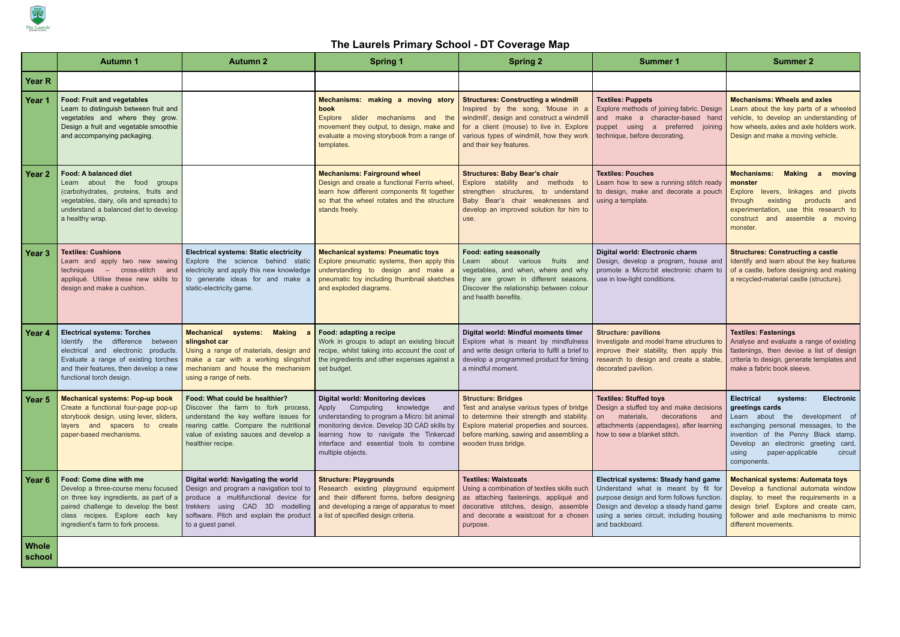

## **The Laurels Primary School - DT Coverage Map**

|                        | <b>Autumn 1</b>                                                                                                                                                                                                                      | <b>Autumn 2</b>                                                                                                                                                                                                           | <b>Spring 1</b>                                                                                                                                                                                                                                                                              | <b>Spring 2</b>                                                                                                                                                                                                                                  | <b>Summer 1</b>                                                                                                                                                                                                                         | <b>Summer 2</b>                                                                                                                                                                                                                                                                       |
|------------------------|--------------------------------------------------------------------------------------------------------------------------------------------------------------------------------------------------------------------------------------|---------------------------------------------------------------------------------------------------------------------------------------------------------------------------------------------------------------------------|----------------------------------------------------------------------------------------------------------------------------------------------------------------------------------------------------------------------------------------------------------------------------------------------|--------------------------------------------------------------------------------------------------------------------------------------------------------------------------------------------------------------------------------------------------|-----------------------------------------------------------------------------------------------------------------------------------------------------------------------------------------------------------------------------------------|---------------------------------------------------------------------------------------------------------------------------------------------------------------------------------------------------------------------------------------------------------------------------------------|
| <b>Year R</b>          |                                                                                                                                                                                                                                      |                                                                                                                                                                                                                           |                                                                                                                                                                                                                                                                                              |                                                                                                                                                                                                                                                  |                                                                                                                                                                                                                                         |                                                                                                                                                                                                                                                                                       |
| Year 1                 | <b>Food: Fruit and vegetables</b><br>Learn to distinguish between fruit and<br>vegetables and where they grow.<br>Design a fruit and vegetable smoothie<br>and accompanying packaging.                                               |                                                                                                                                                                                                                           | Mechanisms: making a moving story<br>book<br>Explore<br>mechanisms and the<br>slider<br>movement they output, to design, make and<br>evaluate a moving storybook from a range of<br>templates.                                                                                               | <b>Structures: Constructing a windmill</b><br>Inspired by the song, 'Mouse in a<br>windmill', design and construct a windmill<br>for a client (mouse) to live in. Explore<br>various types of windmill, how they work<br>and their key features. | <b>Textiles: Puppets</b><br>Explore methods of joining fabric. Design<br>and make a character-based hand<br>puppet using a preferred<br>joining<br>technique, before decorating.                                                        | <b>Mechanisms: Wheels and axles</b><br>Learn about the key parts of a wheeled<br>vehicle, to develop an understanding of<br>how wheels, axles and axle holders work.<br>Design and make a moving vehicle.                                                                             |
| Year 2                 | <b>Food: A balanced diet</b><br>Learn about the food groups<br>(carbohydrates, proteins, fruits and<br>vegetables, dairy, oils and spreads) to<br>understand a balanced diet to develop<br>a healthy wrap.                           |                                                                                                                                                                                                                           | <b>Mechanisms: Fairground wheel</b><br>Design and create a functional Ferris wheel,<br>learn how different components fit together<br>so that the wheel rotates and the structure<br>stands freely.                                                                                          | <b>Structures: Baby Bear's chair</b><br>Explore stability and methods to<br>strengthen structures, to understand<br>Baby Bear's chair weaknesses and<br>develop an improved solution for him to<br>use.                                          | <b>Textiles: Pouches</b><br>Learn how to sew a running stitch ready<br>to design, make and decorate a pouch<br>using a template.                                                                                                        | <b>Making</b><br><b>Mechanisms:</b><br>a<br>moving<br>monster<br>Explore levers,<br>linkages and pivots<br>through<br>existing<br>products<br>and<br>experimentation,<br>use this research to<br>construct<br>assemble a moving<br>and<br>monster.                                    |
| Year 3                 | <b>Textiles: Cushions</b><br>Learn and apply two new sewing<br>techniques - cross-stitch and<br>appliqué. Utilise these new skills to<br>design and make a cushion.                                                                  | <b>Electrical systems: Static electricity</b><br>Explore the science behind static<br>electricity and apply this new knowledge<br>to generate ideas for and make a<br>static-electricity game.                            | <b>Mechanical systems: Pneumatic toys</b><br>Explore pneumatic systems, then apply this<br>understanding to design and make a<br>pneumatic toy including thumbnail sketches<br>and exploded diagrams.                                                                                        | Food: eating seasonally<br>Learn about various<br>fruits and<br>vegetables, and when, where and why<br>they are grown in different seasons.<br>Discover the relationship between colour<br>and health benefits.                                  | Digital world: Electronic charm<br>Design, develop a program, house and<br>promote a Micro:bit electronic charm to<br>use in low-light conditions.                                                                                      | <b>Structures: Constructing a castle</b><br>Identify and learn about the key features<br>of a castle, before designing and making<br>a recycled-material castle (structure).                                                                                                          |
| Year 4                 | <b>Electrical systems: Torches</b><br><b>Identify</b><br>the difference between<br>electrical and electronic products.<br>Evaluate a range of existing torches<br>and their features, then develop a new<br>functional torch design. | <b>Making</b><br><b>Mechanical</b><br>systems:<br>slingshot car<br>Using a range of materials, design and<br>make a car with a working slingshot<br>mechanism and house the mechanism<br>using a range of nets.           | Food: adapting a recipe<br>Work in groups to adapt an existing biscuit<br>recipe, whilst taking into account the cost of<br>the ingredients and other expenses against a<br>set budget.                                                                                                      | Digital world: Mindful moments timer<br>Explore what is meant by mindfulness<br>and write design criteria to fulfil a brief to<br>develop a programmed product for timing<br>a mindful moment.                                                   | <b>Structure: pavilions</b><br>Investigate and model frame structures to<br>improve their stability, then apply this<br>research to design and create a stable,<br>decorated pavilion.                                                  | <b>Textiles: Fastenings</b><br>Analyse and evaluate a range of existing<br>fastenings, then devise a list of design<br>criteria to design, generate templates and<br>make a fabric book sleeve.                                                                                       |
| Year 5                 | <b>Mechanical systems: Pop-up book</b><br>Create a functional four-page pop-up<br>storybook design, using lever, sliders,<br>layers and spacers to create<br>paper-based mechanisms.                                                 | Food: What could be healthier?<br>Discover the farm to fork process,<br>understand the key welfare issues for<br>rearing cattle. Compare the nutritional<br>value of existing sauces and develop a<br>healthier recipe.   | <b>Digital world: Monitoring devices</b><br>Apply<br>Computing<br>knowledge<br>and<br>understanding to program a Micro: bit animal<br>monitoring device. Develop 3D CAD skills by<br>learning how to navigate the Tinkercad<br>interface and essential tools to combine<br>multiple objects. | <b>Structure: Bridges</b><br>Test and analyse various types of bridge<br>to determine their strength and stability.<br>Explore material properties and sources,<br>before marking, sawing and assembling a<br>wooden truss bridge.               | <b>Textiles: Stuffed toys</b><br>Design a stuffed toy and make decisions<br>materials, decorations and<br>on<br>attachments (appendages), after learning<br>how to sew a blanket stitch.                                                | <b>Electrical</b><br>systems:<br><b>Electronic</b><br>greetings cards<br>Learn about the development of<br>exchanging personal messages, to the<br>invention of the Penny Black stamp.<br>Develop an electronic greeting card,<br>paper-applicable<br>using<br>circuit<br>components. |
| Year 6                 | Food: Come dine with me<br>Develop a three-course menu focused<br>on three key ingredients, as part of a<br>paired challenge to develop the best<br>class recipes. Explore each key<br>ingredient's farm to fork process.            | Digital world: Navigating the world<br>Design and program a navigation tool to<br>produce a multifunctional device for<br>trekkers using CAD 3D modelling<br>software. Pitch and explain the product<br>to a guest panel. | <b>Structure: Playgrounds</b><br>Research existing playground equipment Using a combination of textiles skills such<br>and their different forms, before designing<br>and developing a range of apparatus to meet<br>a list of specified design criteria.                                    | <b>Textiles: Waistcoats</b><br>as attaching fastenings, appliqué and<br>decorative stitches, design, assemble<br>and decorate a waistcoat for a chosen<br>purpose.                                                                               | <b>Electrical systems: Steady hand game</b><br>Understand what is meant by fit for<br>purpose design and form follows function.<br>Design and develop a steady hand game<br>using a series circuit, including housing<br>and backboard. | <b>Mechanical systems: Automata toys</b><br>Develop a functional automata window<br>display, to meet the requirements in a<br>design brief. Explore and create cam,<br>follower and axle mechanisms to mimic<br>different movements.                                                  |
| <b>Whole</b><br>school |                                                                                                                                                                                                                                      |                                                                                                                                                                                                                           |                                                                                                                                                                                                                                                                                              |                                                                                                                                                                                                                                                  |                                                                                                                                                                                                                                         |                                                                                                                                                                                                                                                                                       |